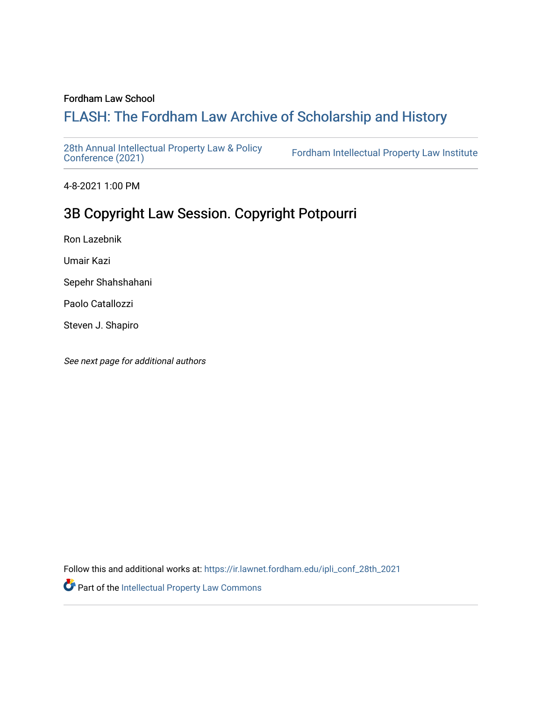## Fordham Law School

# FLASH: The For[dham Law Archive of Scholarship and Hist](https://ir.lawnet.fordham.edu/)ory

[28th Annual Intellectual Property Law & Policy](https://ir.lawnet.fordham.edu/ipli_conf_28th_2021)<br>Conference (2021)

Fordham Intellectual Property Law Institute

4-8-2021 1:00 PM

# 3B Copyright Law Session. Copyright Potpourri

Ron Lazebnik

Umair Kazi

Sepehr Shahshahani

Paolo Catallozzi

Steven J. Shapiro

See next page for additional authors

Follow this and additional works at: [https://ir.lawnet.fordham.edu/ipli\\_conf\\_28th\\_2021](https://ir.lawnet.fordham.edu/ipli_conf_28th_2021?utm_source=ir.lawnet.fordham.edu%2Fipli_conf_28th_2021%2F8&utm_medium=PDF&utm_campaign=PDFCoverPages) 

Part of the [Intellectual Property Law Commons](http://network.bepress.com/hgg/discipline/896?utm_source=ir.lawnet.fordham.edu%2Fipli_conf_28th_2021%2F8&utm_medium=PDF&utm_campaign=PDFCoverPages)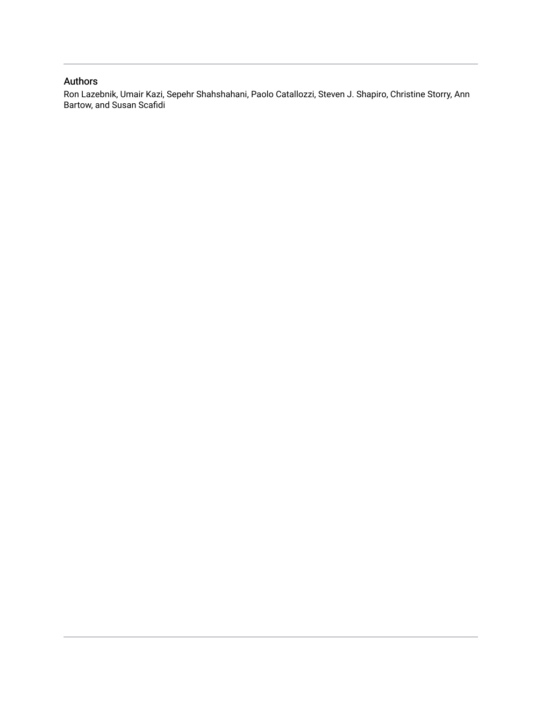## Authors

Ron Lazebnik, Umair Kazi, Sepehr Shahshahani, Paolo Catallozzi, Steven J. Shapiro, Christine Storry, Ann Bartow, and Susan Scafidi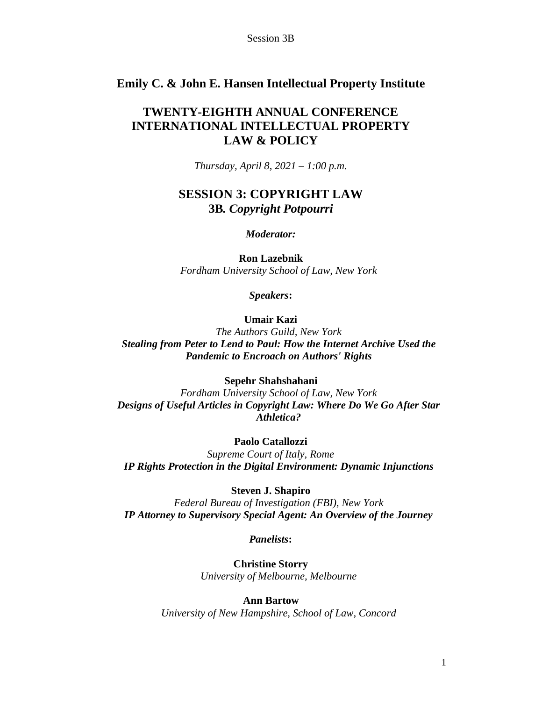## **Emily C. & John E. Hansen Intellectual Property Institute**

## **TWENTY-EIGHTH ANNUAL CONFERENCE INTERNATIONAL INTELLECTUAL PROPERTY LAW & POLICY**

*Thursday, April 8, 2021 – 1:00 p.m.*

## **SESSION 3: COPYRIGHT LAW 3B***. Copyright Potpourri*

#### *Moderator:*

**Ron Lazebnik** *Fordham University School of Law, New York*

*Speakers***:**

## **Umair Kazi**

*The Authors Guild, New York Stealing from Peter to Lend to Paul: How the Internet Archive Used the Pandemic to Encroach on Authors' Rights*

#### **Sepehr Shahshahani**

*Fordham University School of Law, New York Designs of Useful Articles in Copyright Law: Where Do We Go After Star Athletica?*

## **Paolo Catallozzi**

*Supreme Court of Italy, Rome IP Rights Protection in the Digital Environment: Dynamic Injunctions*

#### **Steven J. Shapiro**

*Federal Bureau of Investigation (FBI), New York IP Attorney to Supervisory Special Agent: An Overview of the Journey*

*Panelists***:**

**Christine Storry** *University of Melbourne, Melbourne*

## **Ann Bartow**

*University of New Hampshire, School of Law, Concord*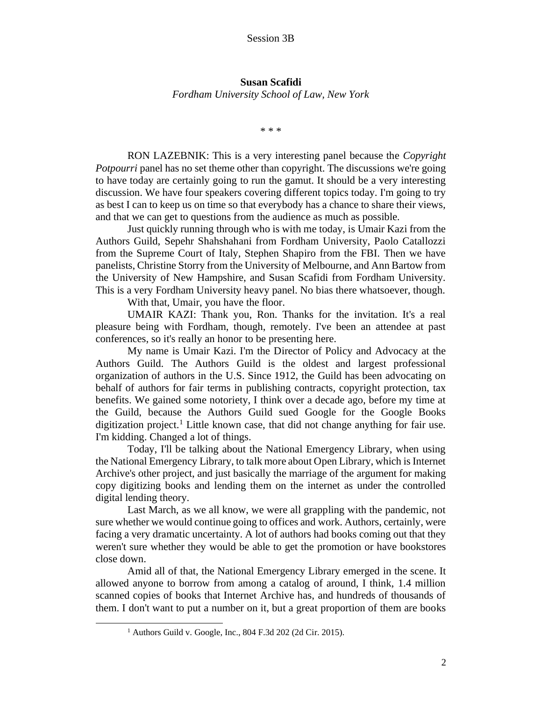## **Susan Scafidi** *Fordham University School of Law, New York*

\* \* \*

RON LAZEBNIK: This is a very interesting panel because the *Copyright Potpourri* panel has no set theme other than copyright. The discussions we're going to have today are certainly going to run the gamut. It should be a very interesting discussion. We have four speakers covering different topics today. I'm going to try as best I can to keep us on time so that everybody has a chance to share their views, and that we can get to questions from the audience as much as possible.

Just quickly running through who is with me today, is Umair Kazi from the Authors Guild, Sepehr Shahshahani from Fordham University, Paolo Catallozzi from the Supreme Court of Italy, Stephen Shapiro from the FBI. Then we have panelists, Christine Storry from the University of Melbourne, and Ann Bartow from the University of New Hampshire, and Susan Scafidi from Fordham University. This is a very Fordham University heavy panel. No bias there whatsoever, though.

With that, Umair, you have the floor.

UMAIR KAZI: Thank you, Ron. Thanks for the invitation. It's a real pleasure being with Fordham, though, remotely. I've been an attendee at past conferences, so it's really an honor to be presenting here.

My name is Umair Kazi. I'm the Director of Policy and Advocacy at the Authors Guild. The Authors Guild is the oldest and largest professional organization of authors in the U.S. Since 1912, the Guild has been advocating on behalf of authors for fair terms in publishing contracts, copyright protection, tax benefits. We gained some notoriety, I think over a decade ago, before my time at the Guild, because the Authors Guild sued Google for the Google Books digitization project.<sup>1</sup> Little known case, that did not change anything for fair use. I'm kidding. Changed a lot of things.

Today, I'll be talking about the National Emergency Library, when using the National Emergency Library, to talk more about Open Library, which is Internet Archive's other project, and just basically the marriage of the argument for making copy digitizing books and lending them on the internet as under the controlled digital lending theory.

Last March, as we all know, we were all grappling with the pandemic, not sure whether we would continue going to offices and work. Authors, certainly, were facing a very dramatic uncertainty. A lot of authors had books coming out that they weren't sure whether they would be able to get the promotion or have bookstores close down.

Amid all of that, the National Emergency Library emerged in the scene. It allowed anyone to borrow from among a catalog of around, I think, 1.4 million scanned copies of books that Internet Archive has, and hundreds of thousands of them. I don't want to put a number on it, but a great proportion of them are books

<sup>1</sup> Authors Guild v. Google, Inc., 804 F.3d 202 (2d Cir. 2015).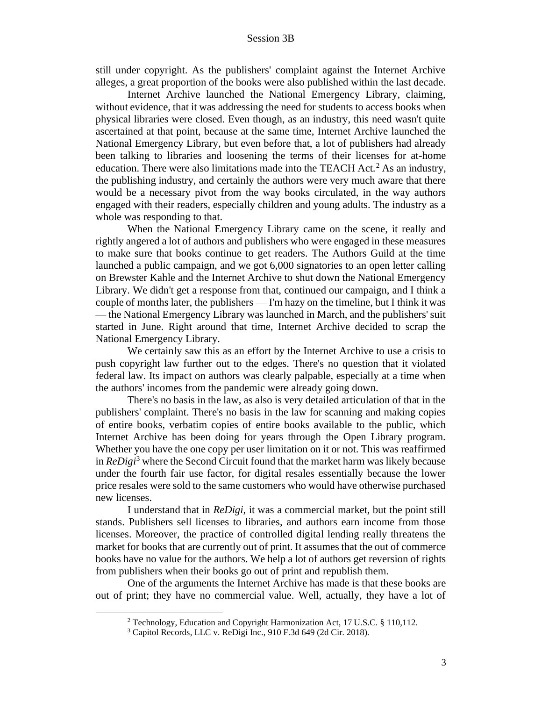still under copyright. As the publishers' complaint against the Internet Archive alleges, a great proportion of the books were also published within the last decade.

Internet Archive launched the National Emergency Library, claiming, without evidence, that it was addressing the need for students to access books when physical libraries were closed. Even though, as an industry, this need wasn't quite ascertained at that point, because at the same time, Internet Archive launched the National Emergency Library, but even before that, a lot of publishers had already been talking to libraries and loosening the terms of their licenses for at-home education. There were also limitations made into the TEACH Act.<sup>2</sup> As an industry, the publishing industry, and certainly the authors were very much aware that there would be a necessary pivot from the way books circulated, in the way authors engaged with their readers, especially children and young adults. The industry as a whole was responding to that.

When the National Emergency Library came on the scene, it really and rightly angered a lot of authors and publishers who were engaged in these measures to make sure that books continue to get readers. The Authors Guild at the time launched a public campaign, and we got 6,000 signatories to an open letter calling on Brewster Kahle and the Internet Archive to shut down the National Emergency Library. We didn't get a response from that, continued our campaign, and I think a couple of months later, the publishers — I'm hazy on the timeline, but I think it was — the National Emergency Library was launched in March, and the publishers' suit started in June. Right around that time, Internet Archive decided to scrap the National Emergency Library.

We certainly saw this as an effort by the Internet Archive to use a crisis to push copyright law further out to the edges. There's no question that it violated federal law. Its impact on authors was clearly palpable, especially at a time when the authors' incomes from the pandemic were already going down.

There's no basis in the law, as also is very detailed articulation of that in the publishers' complaint. There's no basis in the law for scanning and making copies of entire books, verbatim copies of entire books available to the public, which Internet Archive has been doing for years through the Open Library program. Whether you have the one copy per user limitation on it or not. This was reaffirmed in *ReDigi*<sup>3</sup> where the Second Circuit found that the market harm was likely because under the fourth fair use factor, for digital resales essentially because the lower price resales were sold to the same customers who would have otherwise purchased new licenses.

I understand that in *ReDigi*, it was a commercial market, but the point still stands. Publishers sell licenses to libraries, and authors earn income from those licenses. Moreover, the practice of controlled digital lending really threatens the market for books that are currently out of print. It assumes that the out of commerce books have no value for the authors. We help a lot of authors get reversion of rights from publishers when their books go out of print and republish them.

One of the arguments the Internet Archive has made is that these books are out of print; they have no commercial value. Well, actually, they have a lot of

<sup>2</sup> Technology, Education and Copyright Harmonization Act, 17 U.S.C. § 110,112.

<sup>3</sup> Capitol Records, LLC v. ReDigi Inc., 910 F.3d 649 (2d Cir. 2018).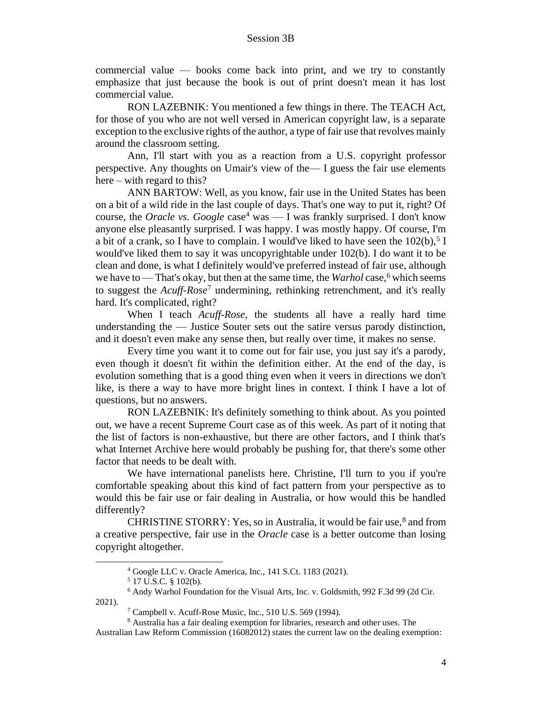commercial value — books come back into print, and we try to constantly emphasize that just because the book is out of print doesn't mean it has lost commercial value.

RON LAZEBNIK: You mentioned a few things in there. The TEACH Act, for those of you who are not well versed in American copyright law, is a separate exception to the exclusive rights of the author, a type of fair use that revolves mainly around the classroom setting.

Ann, I'll start with you as a reaction from a U.S. copyright professor perspective. Any thoughts on Umair's view of the— I guess the fair use elements here – with regard to this?

ANN BARTOW: Well, as you know, fair use in the United States has been on a bit of a wild ride in the last couple of days. That's one way to put it, right? Of course, the *Oracle vs.* Google case<sup>4</sup> was — I was frankly surprised. I don't know anyone else pleasantly surprised. I was happy. I was mostly happy. Of course, I'm a bit of a crank, so I have to complain. I would've liked to have seen the  $102(b)$ ,  $5$  I would've liked them to say it was uncopyrightable under 102(b). I do want it to be clean and done, is what I definitely would've preferred instead of fair use, although we have to — That's okay, but then at the same time, the *Warhol* case,<sup>6</sup> which seems to suggest the *Acuff-Rose*<sup>7</sup> undermining, rethinking retrenchment, and it's really hard. It's complicated, right?

When I teach *Acuff-Rose*, the students all have a really hard time understanding the — Justice Souter sets out the satire versus parody distinction, and it doesn't even make any sense then, but really over time, it makes no sense.

Every time you want it to come out for fair use, you just say it's a parody, even though it doesn't fit within the definition either. At the end of the day, is evolution something that is a good thing even when it veers in directions we don't like, is there a way to have more bright lines in context. I think I have a lot of questions, but no answers.

RON LAZEBNIK: It's definitely something to think about. As you pointed out, we have a recent Supreme Court case as of this week. As part of it noting that the list of factors is non-exhaustive, but there are other factors, and I think that's what Internet Archive here would probably be pushing for, that there's some other factor that needs to be dealt with.

We have international panelists here. Christine, I'll turn to you if you're comfortable speaking about this kind of fact pattern from your perspective as to would this be fair use or fair dealing in Australia, or how would this be handled differently?

CHRISTINE STORRY: Yes, so in Australia, it would be fair use,<sup>8</sup> and from a creative perspective, fair use in the *Oracle* case is a better outcome than losing copyright altogether.

2021).

Australian Law Reform Commission (16082012) states the current law on the dealing exemption:

<sup>4</sup> Google LLC v. Oracle America, Inc., 141 S.Ct. 1183 (2021).

 $5$  17 U.S.C. § 102(b).

<sup>6</sup> Andy Warhol Foundation for the Visual Arts, Inc. v. Goldsmith, 992 F.3d 99 (2d Cir.

<sup>7</sup> Campbell v. Acuff-Rose Music, Inc., 510 U.S. 569 (1994).

<sup>8</sup> Australia has a fair dealing exemption for libraries, research and other uses. The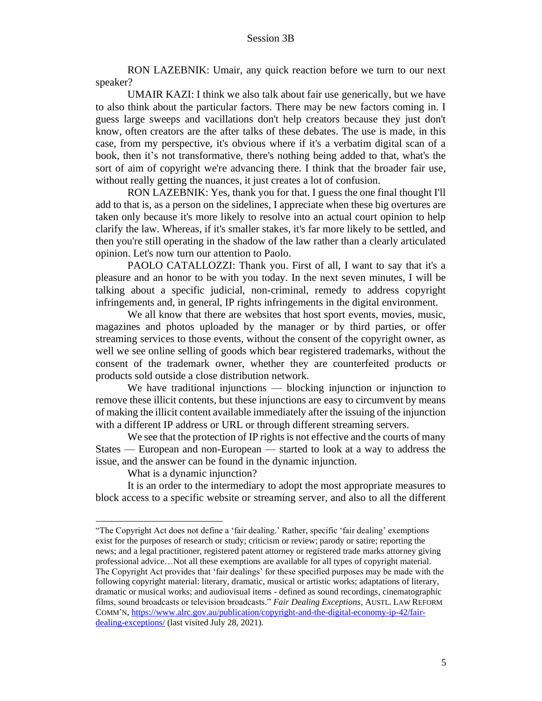RON LAZEBNIK: Umair, any quick reaction before we turn to our next speaker?

UMAIR KAZI: I think we also talk about fair use generically, but we have to also think about the particular factors. There may be new factors coming in. I guess large sweeps and vacillations don't help creators because they just don't know, often creators are the after talks of these debates. The use is made, in this case, from my perspective, it's obvious where if it's a verbatim digital scan of a book, then it's not transformative, there's nothing being added to that, what's the sort of aim of copyright we're advancing there. I think that the broader fair use, without really getting the nuances, it just creates a lot of confusion.

RON LAZEBNIK: Yes, thank you for that. I guess the one final thought I'll add to that is, as a person on the sidelines, I appreciate when these big overtures are taken only because it's more likely to resolve into an actual court opinion to help clarify the law. Whereas, if it's smaller stakes, it's far more likely to be settled, and then you're still operating in the shadow of the law rather than a clearly articulated opinion. Let's now turn our attention to Paolo.

PAOLO CATALLOZZI: Thank you. First of all, I want to say that it's a pleasure and an honor to be with you today. In the next seven minutes, I will be talking about a specific judicial, non-criminal, remedy to address copyright infringements and, in general, IP rights infringements in the digital environment.

We all know that there are websites that host sport events, movies, music, magazines and photos uploaded by the manager or by third parties, or offer streaming services to those events, without the consent of the copyright owner, as well we see online selling of goods which bear registered trademarks, without the consent of the trademark owner, whether they are counterfeited products or products sold outside a close distribution network.

We have traditional injunctions — blocking injunction or injunction to remove these illicit contents, but these injunctions are easy to circumvent by means of making the illicit content available immediately after the issuing of the injunction with a different IP address or URL or through different streaming servers.

We see that the protection of IP rights is not effective and the courts of many States — European and non-European — started to look at a way to address the issue, and the answer can be found in the dynamic injunction.

What is a dynamic injunction?

It is an order to the intermediary to adopt the most appropriate measures to block access to a specific website or streaming server, and also to all the different

<sup>&</sup>quot;The Copyright Act does not define a 'fair dealing.' Rather, specific 'fair dealing' exemptions exist for the purposes of research or study; criticism or review; parody or satire; reporting the news; and a legal practitioner, registered patent attorney or registered trade marks attorney giving professional advice…Not all these exemptions are available for all types of copyright material. The Copyright Act provides that 'fair dealings' for these specified purposes may be made with the following copyright material: literary, dramatic, musical or artistic works; adaptations of literary, dramatic or musical works; and audiovisual items - defined as sound recordings, cinematographic films, sound broadcasts or television broadcasts." *Fair Dealing Exceptions*, AUSTL. LAW REFORM COMM'N, https://www.alrc.gov.au/publication/copyright-and-the-digital-economy-ip-42/fairdealing-exceptions/ (last visited July 28, 2021).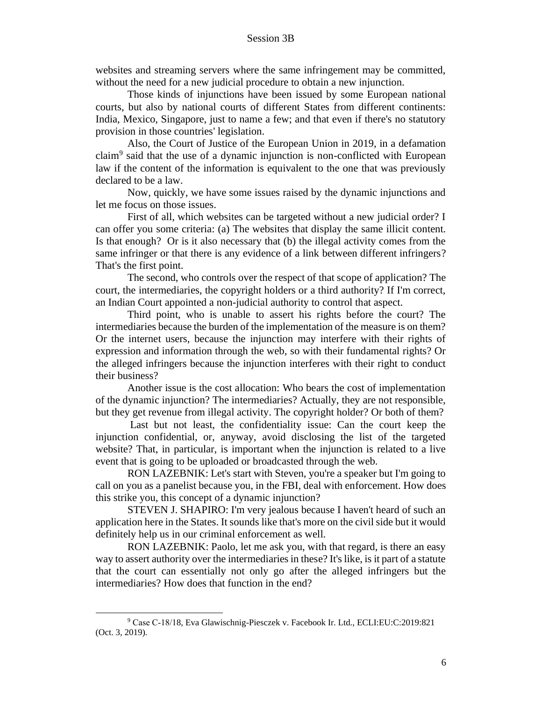websites and streaming servers where the same infringement may be committed, without the need for a new judicial procedure to obtain a new injunction.

Those kinds of injunctions have been issued by some European national courts, but also by national courts of different States from different continents: India, Mexico, Singapore, just to name a few; and that even if there's no statutory provision in those countries' legislation.

Also, the Court of Justice of the European Union in 2019, in a defamation claim<sup>9</sup> said that the use of a dynamic injunction is non-conflicted with European law if the content of the information is equivalent to the one that was previously declared to be a law.

Now, quickly, we have some issues raised by the dynamic injunctions and let me focus on those issues.

First of all, which websites can be targeted without a new judicial order? I can offer you some criteria: (a) The websites that display the same illicit content. Is that enough? Or is it also necessary that (b) the illegal activity comes from the same infringer or that there is any evidence of a link between different infringers? That's the first point.

The second, who controls over the respect of that scope of application? The court, the intermediaries, the copyright holders or a third authority? If I'm correct, an Indian Court appointed a non-judicial authority to control that aspect.

Third point, who is unable to assert his rights before the court? The intermediaries because the burden of the implementation of the measure is on them? Or the internet users, because the injunction may interfere with their rights of expression and information through the web, so with their fundamental rights? Or the alleged infringers because the injunction interferes with their right to conduct their business?

Another issue is the cost allocation: Who bears the cost of implementation of the dynamic injunction? The intermediaries? Actually, they are not responsible, but they get revenue from illegal activity. The copyright holder? Or both of them?

Last but not least, the confidentiality issue: Can the court keep the injunction confidential, or, anyway, avoid disclosing the list of the targeted website? That, in particular, is important when the injunction is related to a live event that is going to be uploaded or broadcasted through the web.

RON LAZEBNIK: Let's start with Steven, you're a speaker but I'm going to call on you as a panelist because you, in the FBI, deal with enforcement. How does this strike you, this concept of a dynamic injunction?

STEVEN J. SHAPIRO: I'm very jealous because I haven't heard of such an application here in the States. It sounds like that's more on the civil side but it would definitely help us in our criminal enforcement as well.

RON LAZEBNIK: Paolo, let me ask you, with that regard, is there an easy way to assert authority over the intermediaries in these? It's like, is it part of a statute that the court can essentially not only go after the alleged infringers but the intermediaries? How does that function in the end?

<sup>9</sup> Case C‑18/18, Eva Glawischnig-Piesczek v. Facebook Ir. Ltd., ECLI:EU:C:2019:821 (Oct. 3, 2019).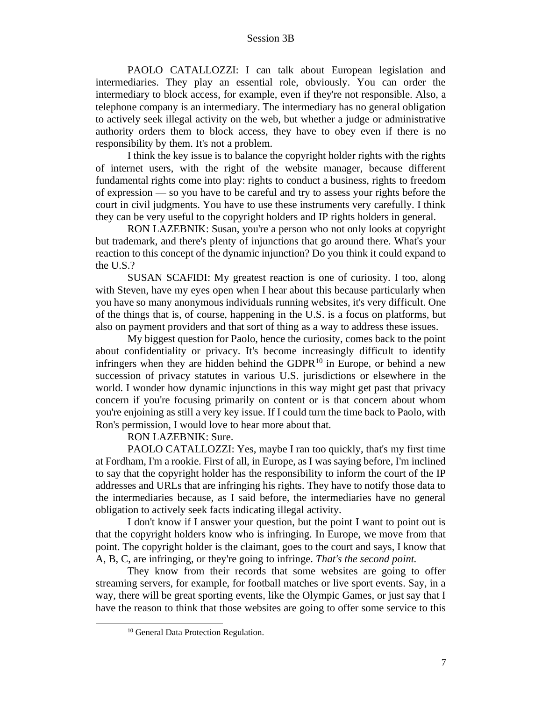PAOLO CATALLOZZI: I can talk about European legislation and intermediaries. They play an essential role, obviously. You can order the intermediary to block access, for example, even if they're not responsible. Also, a telephone company is an intermediary. The intermediary has no general obligation to actively seek illegal activity on the web, but whether a judge or administrative authority orders them to block access, they have to obey even if there is no responsibility by them. It's not a problem.

I think the key issue is to balance the copyright holder rights with the rights of internet users, with the right of the website manager, because different fundamental rights come into play: rights to conduct a business, rights to freedom of expression — so you have to be careful and try to assess your rights before the court in civil judgments. You have to use these instruments very carefully. I think they can be very useful to the copyright holders and IP rights holders in general.

RON LAZEBNIK: Susan, you're a person who not only looks at copyright but trademark, and there's plenty of injunctions that go around there. What's your reaction to this concept of the dynamic injunction? Do you think it could expand to the U.S.?

SUSAN SCAFIDI: My greatest reaction is one of curiosity. I too, along with Steven, have my eyes open when I hear about this because particularly when you have so many anonymous individuals running websites, it's very difficult. One of the things that is, of course, happening in the U.S. is a focus on platforms, but also on payment providers and that sort of thing as a way to address these issues.

My biggest question for Paolo, hence the curiosity, comes back to the point about confidentiality or privacy. It's become increasingly difficult to identify infringers when they are hidden behind the GDPR $^{10}$  in Europe, or behind a new succession of privacy statutes in various U.S. jurisdictions or elsewhere in the world. I wonder how dynamic injunctions in this way might get past that privacy concern if you're focusing primarily on content or is that concern about whom you're enjoining as still a very key issue. If I could turn the time back to Paolo, with Ron's permission, I would love to hear more about that.

RON LAZEBNIK: Sure.

PAOLO CATALLOZZI: Yes, maybe I ran too quickly, that's my first time at Fordham, I'm a rookie. First of all, in Europe, as I was saying before, I'm inclined to say that the copyright holder has the responsibility to inform the court of the IP addresses and URLs that are infringing his rights. They have to notify those data to the intermediaries because, as I said before, the intermediaries have no general obligation to actively seek facts indicating illegal activity.

I don't know if I answer your question, but the point I want to point out is that the copyright holders know who is infringing. In Europe, we move from that point. The copyright holder is the claimant, goes to the court and says, I know that A, B, C, are infringing, or they're going to infringe. *That's the second point.*

They know from their records that some websites are going to offer streaming servers, for example, for football matches or live sport events. Say, in a way, there will be great sporting events, like the Olympic Games, or just say that I have the reason to think that those websites are going to offer some service to this

<sup>&</sup>lt;sup>10</sup> General Data Protection Regulation.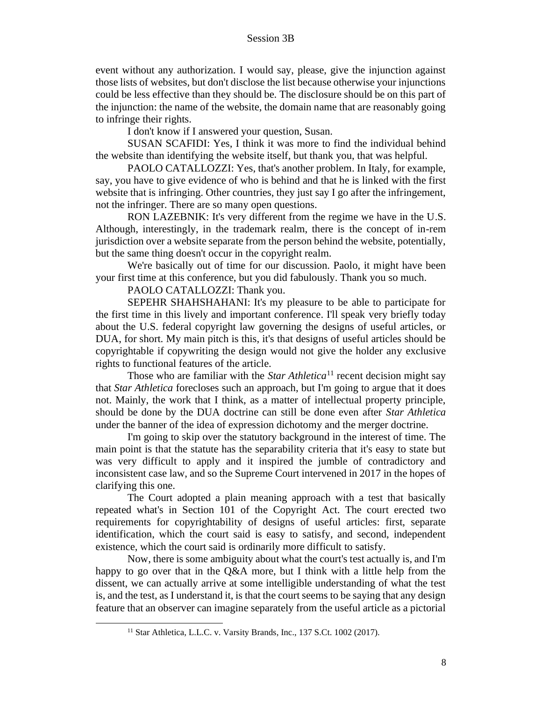event without any authorization. I would say, please, give the injunction against those lists of websites, but don't disclose the list because otherwise your injunctions could be less effective than they should be. The disclosure should be on this part of the injunction: the name of the website, the domain name that are reasonably going to infringe their rights.

I don't know if I answered your question, Susan.

SUSAN SCAFIDI: Yes, I think it was more to find the individual behind the website than identifying the website itself, but thank you, that was helpful.

PAOLO CATALLOZZI: Yes, that's another problem. In Italy, for example, say, you have to give evidence of who is behind and that he is linked with the first website that is infringing. Other countries, they just say I go after the infringement, not the infringer. There are so many open questions.

RON LAZEBNIK: It's very different from the regime we have in the U.S. Although, interestingly, in the trademark realm, there is the concept of in-rem jurisdiction over a website separate from the person behind the website, potentially, but the same thing doesn't occur in the copyright realm.

We're basically out of time for our discussion. Paolo, it might have been your first time at this conference, but you did fabulously. Thank you so much.

PAOLO CATALLOZZI: Thank you.

SEPEHR SHAHSHAHANI: It's my pleasure to be able to participate for the first time in this lively and important conference. I'll speak very briefly today about the U.S. federal copyright law governing the designs of useful articles, or DUA, for short. My main pitch is this, it's that designs of useful articles should be copyrightable if copywriting the design would not give the holder any exclusive rights to functional features of the article.

Those who are familiar with the *Star Athletica*<sup>11</sup> recent decision might say that *Star Athletica* forecloses such an approach, but I'm going to argue that it does not. Mainly, the work that I think, as a matter of intellectual property principle, should be done by the DUA doctrine can still be done even after *Star Athletica*  under the banner of the idea of expression dichotomy and the merger doctrine.

I'm going to skip over the statutory background in the interest of time. The main point is that the statute has the separability criteria that it's easy to state but was very difficult to apply and it inspired the jumble of contradictory and inconsistent case law, and so the Supreme Court intervened in 2017 in the hopes of clarifying this one.

The Court adopted a plain meaning approach with a test that basically repeated what's in Section 101 of the Copyright Act. The court erected two requirements for copyrightability of designs of useful articles: first, separate identification, which the court said is easy to satisfy, and second, independent existence, which the court said is ordinarily more difficult to satisfy.

Now, there is some ambiguity about what the court's test actually is, and I'm happy to go over that in the Q&A more, but I think with a little help from the dissent, we can actually arrive at some intelligible understanding of what the test is, and the test, as I understand it, is that the court seems to be saying that any design feature that an observer can imagine separately from the useful article as a pictorial

<sup>&</sup>lt;sup>11</sup> Star Athletica, L.L.C. v. Varsity Brands, Inc., 137 S.Ct. 1002 (2017).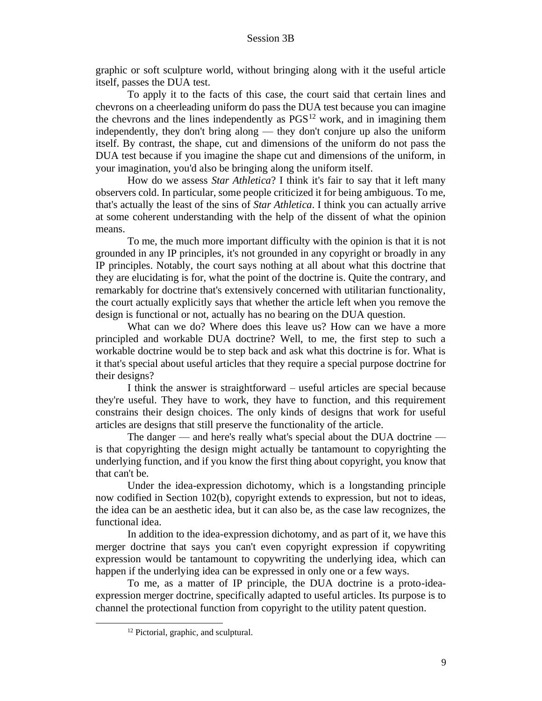graphic or soft sculpture world, without bringing along with it the useful article itself, passes the DUA test.

To apply it to the facts of this case, the court said that certain lines and chevrons on a cheerleading uniform do pass the DUA test because you can imagine the chevrons and the lines independently as  $PGS<sup>12</sup>$  work, and in imagining them independently, they don't bring along — they don't conjure up also the uniform itself. By contrast, the shape, cut and dimensions of the uniform do not pass the DUA test because if you imagine the shape cut and dimensions of the uniform, in your imagination, you'd also be bringing along the uniform itself.

How do we assess *Star Athletica*? I think it's fair to say that it left many observers cold. In particular, some people criticized it for being ambiguous. To me, that's actually the least of the sins of *Star Athletica*. I think you can actually arrive at some coherent understanding with the help of the dissent of what the opinion means.

To me, the much more important difficulty with the opinion is that it is not grounded in any IP principles, it's not grounded in any copyright or broadly in any IP principles. Notably, the court says nothing at all about what this doctrine that they are elucidating is for, what the point of the doctrine is. Quite the contrary, and remarkably for doctrine that's extensively concerned with utilitarian functionality, the court actually explicitly says that whether the article left when you remove the design is functional or not, actually has no bearing on the DUA question.

What can we do? Where does this leave us? How can we have a more principled and workable DUA doctrine? Well, to me, the first step to such a workable doctrine would be to step back and ask what this doctrine is for. What is it that's special about useful articles that they require a special purpose doctrine for their designs?

I think the answer is straightforward – useful articles are special because they're useful. They have to work, they have to function, and this requirement constrains their design choices. The only kinds of designs that work for useful articles are designs that still preserve the functionality of the article.

The danger — and here's really what's special about the DUA doctrine is that copyrighting the design might actually be tantamount to copyrighting the underlying function, and if you know the first thing about copyright, you know that that can't be.

Under the idea-expression dichotomy, which is a longstanding principle now codified in Section 102(b), copyright extends to expression, but not to ideas, the idea can be an aesthetic idea, but it can also be, as the case law recognizes, the functional idea.

In addition to the idea-expression dichotomy, and as part of it, we have this merger doctrine that says you can't even copyright expression if copywriting expression would be tantamount to copywriting the underlying idea, which can happen if the underlying idea can be expressed in only one or a few ways.

To me, as a matter of IP principle, the DUA doctrine is a proto-ideaexpression merger doctrine, specifically adapted to useful articles. Its purpose is to channel the protectional function from copyright to the utility patent question.

<sup>&</sup>lt;sup>12</sup> Pictorial, graphic, and sculptural.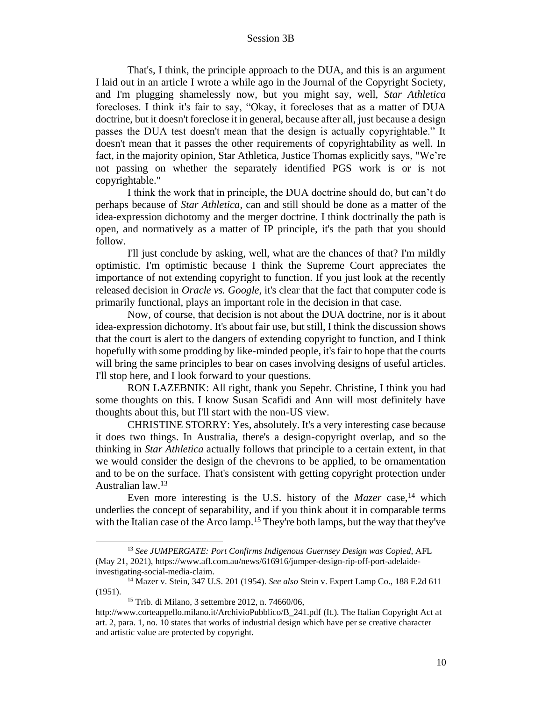That's, I think, the principle approach to the DUA, and this is an argument I laid out in an article I wrote a while ago in the Journal of the Copyright Society, and I'm plugging shamelessly now, but you might say, well, *Star Athletica* forecloses. I think it's fair to say, "Okay, it forecloses that as a matter of DUA doctrine, but it doesn't foreclose it in general, because after all, just because a design passes the DUA test doesn't mean that the design is actually copyrightable." It doesn't mean that it passes the other requirements of copyrightability as well. In fact, in the majority opinion, Star Athletica, Justice Thomas explicitly says, "We're not passing on whether the separately identified PGS work is or is not copyrightable."

I think the work that in principle, the DUA doctrine should do, but can't do perhaps because of *Star Athletica*, can and still should be done as a matter of the idea-expression dichotomy and the merger doctrine. I think doctrinally the path is open, and normatively as a matter of IP principle, it's the path that you should follow.

I'll just conclude by asking, well, what are the chances of that? I'm mildly optimistic. I'm optimistic because I think the Supreme Court appreciates the importance of not extending copyright to function. If you just look at the recently released decision in *Oracle vs. Google*, it's clear that the fact that computer code is primarily functional, plays an important role in the decision in that case.

Now, of course, that decision is not about the DUA doctrine, nor is it about idea-expression dichotomy. It's about fair use, but still, I think the discussion shows that the court is alert to the dangers of extending copyright to function, and I think hopefully with some prodding by like-minded people, it's fair to hope that the courts will bring the same principles to bear on cases involving designs of useful articles. I'll stop here, and I look forward to your questions.

RON LAZEBNIK: All right, thank you Sepehr. Christine, I think you had some thoughts on this. I know Susan Scafidi and Ann will most definitely have thoughts about this, but I'll start with the non-US view.

CHRISTINE STORRY: Yes, absolutely. It's a very interesting case because it does two things. In Australia, there's a design-copyright overlap, and so the thinking in *Star Athletica* actually follows that principle to a certain extent, in that we would consider the design of the chevrons to be applied, to be ornamentation and to be on the surface. That's consistent with getting copyright protection under Australian law.<sup>13</sup>

Even more interesting is the U.S. history of the *Mazer* case,<sup>14</sup> which underlies the concept of separability, and if you think about it in comparable terms with the Italian case of the Arco lamp.<sup>15</sup> They're both lamps, but the way that they've

<sup>13</sup> *See JUMPERGATE: Port Confirms Indigenous Guernsey Design was Copied*, AFL (May 21, 2021), https://www.afl.com.au/news/616916/jumper-design-rip-off-port-adelaideinvestigating-social-media-claim.

<sup>14</sup> Mazer v. Stein, 347 U.S. 201 (1954). *See also* Stein v. Expert Lamp Co., 188 F.2d 611 (1951).

<sup>15</sup> Trib. di Milano, 3 settembre 2012, n. 74660/06,

http://www.corteappello.milano.it/ArchivioPubblico/B\_241.pdf (It.). The Italian Copyright Act at art. 2, para. 1, no. 10 states that works of industrial design which have per se creative character and artistic value are protected by copyright.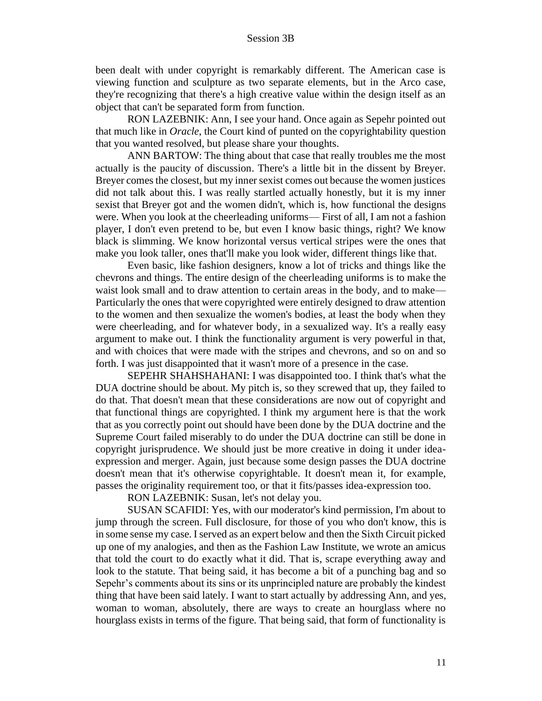been dealt with under copyright is remarkably different. The American case is viewing function and sculpture as two separate elements, but in the Arco case, they're recognizing that there's a high creative value within the design itself as an object that can't be separated form from function.

RON LAZEBNIK: Ann, I see your hand. Once again as Sepehr pointed out that much like in *Oracle*, the Court kind of punted on the copyrightability question that you wanted resolved, but please share your thoughts.

ANN BARTOW: The thing about that case that really troubles me the most actually is the paucity of discussion. There's a little bit in the dissent by Breyer. Breyer comes the closest, but my inner sexist comes out because the women justices did not talk about this. I was really startled actually honestly, but it is my inner sexist that Breyer got and the women didn't, which is, how functional the designs were. When you look at the cheerleading uniforms— First of all, I am not a fashion player, I don't even pretend to be, but even I know basic things, right? We know black is slimming. We know horizontal versus vertical stripes were the ones that make you look taller, ones that'll make you look wider, different things like that.

Even basic, like fashion designers, know a lot of tricks and things like the chevrons and things. The entire design of the cheerleading uniforms is to make the waist look small and to draw attention to certain areas in the body, and to make— Particularly the ones that were copyrighted were entirely designed to draw attention to the women and then sexualize the women's bodies, at least the body when they were cheerleading, and for whatever body, in a sexualized way. It's a really easy argument to make out. I think the functionality argument is very powerful in that, and with choices that were made with the stripes and chevrons, and so on and so forth. I was just disappointed that it wasn't more of a presence in the case.

SEPEHR SHAHSHAHANI: I was disappointed too. I think that's what the DUA doctrine should be about. My pitch is, so they screwed that up, they failed to do that. That doesn't mean that these considerations are now out of copyright and that functional things are copyrighted. I think my argument here is that the work that as you correctly point out should have been done by the DUA doctrine and the Supreme Court failed miserably to do under the DUA doctrine can still be done in copyright jurisprudence. We should just be more creative in doing it under ideaexpression and merger. Again, just because some design passes the DUA doctrine doesn't mean that it's otherwise copyrightable. It doesn't mean it, for example, passes the originality requirement too, or that it fits/passes idea-expression too.

RON LAZEBNIK: Susan, let's not delay you.

SUSAN SCAFIDI: Yes, with our moderator's kind permission, I'm about to jump through the screen. Full disclosure, for those of you who don't know, this is in some sense my case. I served as an expert below and then the Sixth Circuit picked up one of my analogies, and then as the Fashion Law Institute, we wrote an amicus that told the court to do exactly what it did. That is, scrape everything away and look to the statute. That being said, it has become a bit of a punching bag and so Sepehr's comments about its sins or its unprincipled nature are probably the kindest thing that have been said lately. I want to start actually by addressing Ann, and yes, woman to woman, absolutely, there are ways to create an hourglass where no hourglass exists in terms of the figure. That being said, that form of functionality is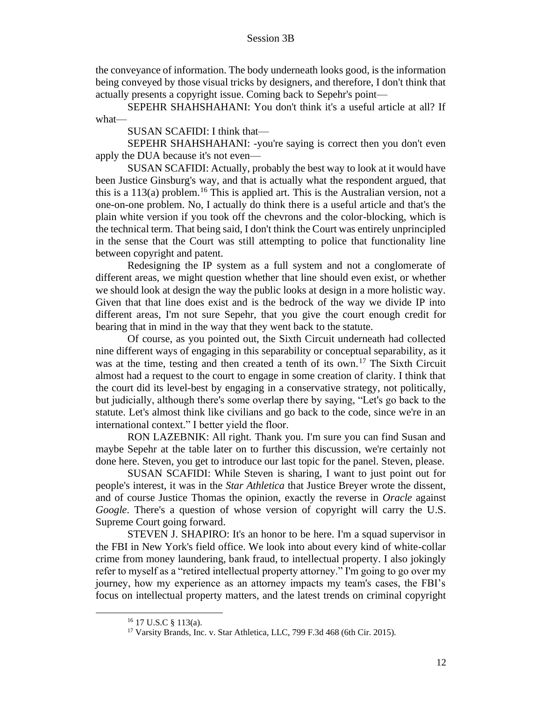the conveyance of information. The body underneath looks good, is the information being conveyed by those visual tricks by designers, and therefore, I don't think that actually presents a copyright issue. Coming back to Sepehr's point—

SEPEHR SHAHSHAHANI: You don't think it's a useful article at all? If what—

SUSAN SCAFIDI: I think that—

SEPEHR SHAHSHAHANI: -you're saying is correct then you don't even apply the DUA because it's not even—

SUSAN SCAFIDI: Actually, probably the best way to look at it would have been Justice Ginsburg's way, and that is actually what the respondent argued, that this is a  $113(a)$  problem.<sup>16</sup> This is applied art. This is the Australian version, not a one-on-one problem. No, I actually do think there is a useful article and that's the plain white version if you took off the chevrons and the color-blocking, which is the technical term. That being said, I don't think the Court was entirely unprincipled in the sense that the Court was still attempting to police that functionality line between copyright and patent.

Redesigning the IP system as a full system and not a conglomerate of different areas, we might question whether that line should even exist, or whether we should look at design the way the public looks at design in a more holistic way. Given that that line does exist and is the bedrock of the way we divide IP into different areas, I'm not sure Sepehr, that you give the court enough credit for bearing that in mind in the way that they went back to the statute.

Of course, as you pointed out, the Sixth Circuit underneath had collected nine different ways of engaging in this separability or conceptual separability, as it was at the time, testing and then created a tenth of its own.<sup>17</sup> The Sixth Circuit almost had a request to the court to engage in some creation of clarity. I think that the court did its level-best by engaging in a conservative strategy, not politically, but judicially, although there's some overlap there by saying, "Let's go back to the statute. Let's almost think like civilians and go back to the code, since we're in an international context." I better yield the floor.

RON LAZEBNIK: All right. Thank you. I'm sure you can find Susan and maybe Sepehr at the table later on to further this discussion, we're certainly not done here. Steven, you get to introduce our last topic for the panel. Steven, please.

SUSAN SCAFIDI: While Steven is sharing, I want to just point out for people's interest, it was in the *Star Athletica* that Justice Breyer wrote the dissent, and of course Justice Thomas the opinion, exactly the reverse in *Oracle* against *Google*. There's a question of whose version of copyright will carry the U.S. Supreme Court going forward.

STEVEN J. SHAPIRO: It's an honor to be here. I'm a squad supervisor in the FBI in New York's field office. We look into about every kind of white-collar crime from money laundering, bank fraud, to intellectual property. I also jokingly refer to myself as a "retired intellectual property attorney." I'm going to go over my journey, how my experience as an attorney impacts my team's cases, the FBI's focus on intellectual property matters, and the latest trends on criminal copyright

<sup>16</sup> 17 U.S.C § 113(a).

<sup>&</sup>lt;sup>17</sup> Varsity Brands, Inc. v. Star Athletica, LLC, 799 F.3d 468 (6th Cir. 2015).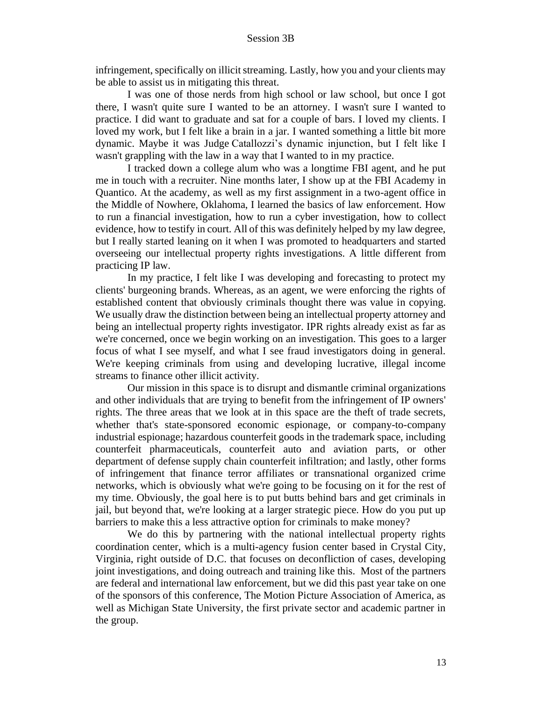infringement, specifically on illicit streaming. Lastly, how you and your clients may be able to assist us in mitigating this threat.

I was one of those nerds from high school or law school, but once I got there, I wasn't quite sure I wanted to be an attorney. I wasn't sure I wanted to practice. I did want to graduate and sat for a couple of bars. I loved my clients. I loved my work, but I felt like a brain in a jar. I wanted something a little bit more dynamic. Maybe it was Judge Catallozzi's dynamic injunction, but I felt like I wasn't grappling with the law in a way that I wanted to in my practice.

I tracked down a college alum who was a longtime FBI agent, and he put me in touch with a recruiter. Nine months later, I show up at the FBI Academy in Quantico. At the academy, as well as my first assignment in a two-agent office in the Middle of Nowhere, Oklahoma, I learned the basics of law enforcement. How to run a financial investigation, how to run a cyber investigation, how to collect evidence, how to testify in court. All of this was definitely helped by my law degree, but I really started leaning on it when I was promoted to headquarters and started overseeing our intellectual property rights investigations. A little different from practicing IP law.

In my practice, I felt like I was developing and forecasting to protect my clients' burgeoning brands. Whereas, as an agent, we were enforcing the rights of established content that obviously criminals thought there was value in copying. We usually draw the distinction between being an intellectual property attorney and being an intellectual property rights investigator. IPR rights already exist as far as we're concerned, once we begin working on an investigation. This goes to a larger focus of what I see myself, and what I see fraud investigators doing in general. We're keeping criminals from using and developing lucrative, illegal income streams to finance other illicit activity.

Our mission in this space is to disrupt and dismantle criminal organizations and other individuals that are trying to benefit from the infringement of IP owners' rights. The three areas that we look at in this space are the theft of trade secrets, whether that's state-sponsored economic espionage, or company-to-company industrial espionage; hazardous counterfeit goods in the trademark space, including counterfeit pharmaceuticals, counterfeit auto and aviation parts, or other department of defense supply chain counterfeit infiltration; and lastly, other forms of infringement that finance terror affiliates or transnational organized crime networks, which is obviously what we're going to be focusing on it for the rest of my time. Obviously, the goal here is to put butts behind bars and get criminals in jail, but beyond that, we're looking at a larger strategic piece. How do you put up barriers to make this a less attractive option for criminals to make money?

We do this by partnering with the national intellectual property rights coordination center, which is a multi-agency fusion center based in Crystal City, Virginia, right outside of D.C. that focuses on deconfliction of cases, developing joint investigations, and doing outreach and training like this. Most of the partners are federal and international law enforcement, but we did this past year take on one of the sponsors of this conference, The Motion Picture Association of America, as well as Michigan State University, the first private sector and academic partner in the group.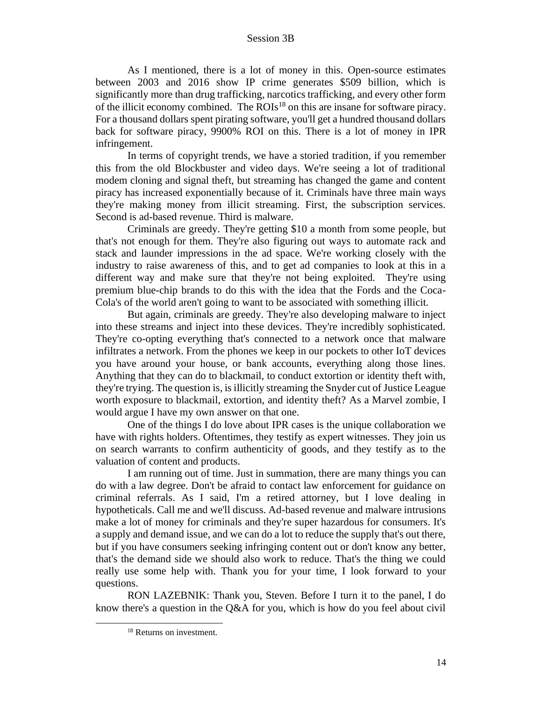As I mentioned, there is a lot of money in this. Open-source estimates between 2003 and 2016 show IP crime generates \$509 billion, which is significantly more than drug trafficking, narcotics trafficking, and every other form of the illicit economy combined. The  $ROIs<sup>18</sup>$  on this are insane for software piracy. For a thousand dollars spent pirating software, you'll get a hundred thousand dollars back for software piracy, 9900% ROI on this. There is a lot of money in IPR infringement.

In terms of copyright trends, we have a storied tradition, if you remember this from the old Blockbuster and video days. We're seeing a lot of traditional modem cloning and signal theft, but streaming has changed the game and content piracy has increased exponentially because of it. Criminals have three main ways they're making money from illicit streaming. First, the subscription services. Second is ad-based revenue. Third is malware.

Criminals are greedy. They're getting \$10 a month from some people, but that's not enough for them. They're also figuring out ways to automate rack and stack and launder impressions in the ad space. We're working closely with the industry to raise awareness of this, and to get ad companies to look at this in a different way and make sure that they're not being exploited. They're using premium blue-chip brands to do this with the idea that the Fords and the Coca-Cola's of the world aren't going to want to be associated with something illicit.

But again, criminals are greedy. They're also developing malware to inject into these streams and inject into these devices. They're incredibly sophisticated. They're co-opting everything that's connected to a network once that malware infiltrates a network. From the phones we keep in our pockets to other IoT devices you have around your house, or bank accounts, everything along those lines. Anything that they can do to blackmail, to conduct extortion or identity theft with, they're trying. The question is, is illicitly streaming the Snyder cut of Justice League worth exposure to blackmail, extortion, and identity theft? As a Marvel zombie, I would argue I have my own answer on that one.

One of the things I do love about IPR cases is the unique collaboration we have with rights holders. Oftentimes, they testify as expert witnesses. They join us on search warrants to confirm authenticity of goods, and they testify as to the valuation of content and products.

I am running out of time. Just in summation, there are many things you can do with a law degree. Don't be afraid to contact law enforcement for guidance on criminal referrals. As I said, I'm a retired attorney, but I love dealing in hypotheticals. Call me and we'll discuss. Ad-based revenue and malware intrusions make a lot of money for criminals and they're super hazardous for consumers. It's a supply and demand issue, and we can do a lot to reduce the supply that's out there, but if you have consumers seeking infringing content out or don't know any better, that's the demand side we should also work to reduce. That's the thing we could really use some help with. Thank you for your time, I look forward to your questions.

RON LAZEBNIK: Thank you, Steven. Before I turn it to the panel, I do know there's a question in the Q&A for you, which is how do you feel about civil

<sup>&</sup>lt;sup>18</sup> Returns on investment.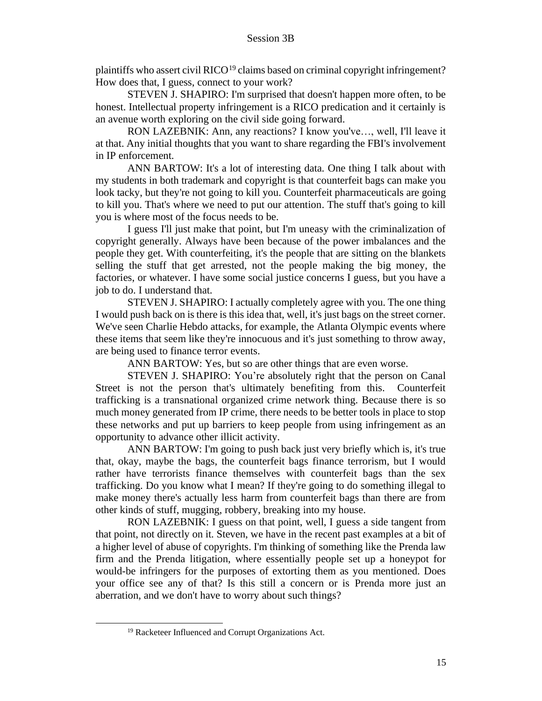plaintiffs who assert civil  $RICO<sup>19</sup>$  claims based on criminal copyright infringement? How does that, I guess, connect to your work?

STEVEN J. SHAPIRO: I'm surprised that doesn't happen more often, to be honest. Intellectual property infringement is a RICO predication and it certainly is an avenue worth exploring on the civil side going forward.

RON LAZEBNIK: Ann, any reactions? I know you've…, well, I'll leave it at that. Any initial thoughts that you want to share regarding the FBI's involvement in IP enforcement.

ANN BARTOW: It's a lot of interesting data. One thing I talk about with my students in both trademark and copyright is that counterfeit bags can make you look tacky, but they're not going to kill you. Counterfeit pharmaceuticals are going to kill you. That's where we need to put our attention. The stuff that's going to kill you is where most of the focus needs to be.

I guess I'll just make that point, but I'm uneasy with the criminalization of copyright generally. Always have been because of the power imbalances and the people they get. With counterfeiting, it's the people that are sitting on the blankets selling the stuff that get arrested, not the people making the big money, the factories, or whatever. I have some social justice concerns I guess, but you have a job to do. I understand that.

STEVEN J. SHAPIRO: I actually completely agree with you. The one thing I would push back on is there is this idea that, well, it's just bags on the street corner. We've seen Charlie Hebdo attacks, for example, the Atlanta Olympic events where these items that seem like they're innocuous and it's just something to throw away, are being used to finance terror events.

ANN BARTOW: Yes, but so are other things that are even worse.

STEVEN J. SHAPIRO: You're absolutely right that the person on Canal Street is not the person that's ultimately benefiting from this. Counterfeit trafficking is a transnational organized crime network thing. Because there is so much money generated from IP crime, there needs to be better tools in place to stop these networks and put up barriers to keep people from using infringement as an opportunity to advance other illicit activity.

ANN BARTOW: I'm going to push back just very briefly which is, it's true that, okay, maybe the bags, the counterfeit bags finance terrorism, but I would rather have terrorists finance themselves with counterfeit bags than the sex trafficking. Do you know what I mean? If they're going to do something illegal to make money there's actually less harm from counterfeit bags than there are from other kinds of stuff, mugging, robbery, breaking into my house.

RON LAZEBNIK: I guess on that point, well, I guess a side tangent from that point, not directly on it. Steven, we have in the recent past examples at a bit of a higher level of abuse of copyrights. I'm thinking of something like the Prenda law firm and the Prenda litigation, where essentially people set up a honeypot for would-be infringers for the purposes of extorting them as you mentioned. Does your office see any of that? Is this still a concern or is Prenda more just an aberration, and we don't have to worry about such things?

<sup>19</sup> Racketeer Influenced and Corrupt Organizations Act.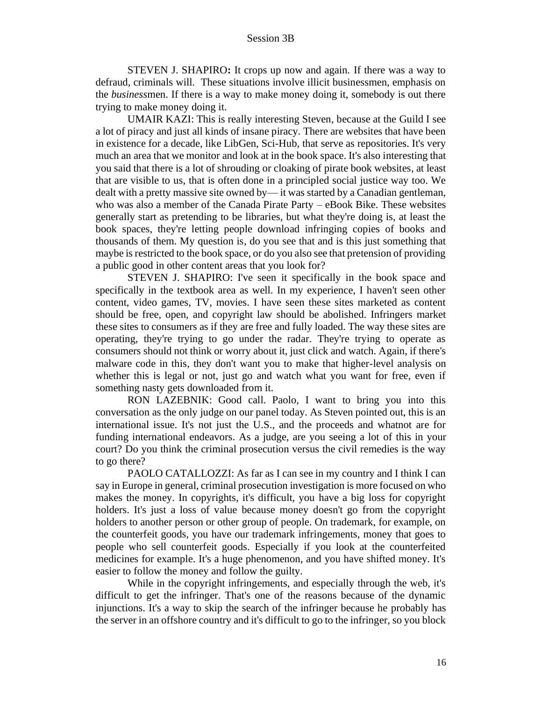STEVEN J. SHAPIRO**:** It crops up now and again. If there was a way to defraud, criminals will. These situations involve illicit businessmen, emphasis on the *business*men. If there is a way to make money doing it, somebody is out there trying to make money doing it.

UMAIR KAZI: This is really interesting Steven, because at the Guild I see a lot of piracy and just all kinds of insane piracy. There are websites that have been in existence for a decade, like LibGen, Sci-Hub, that serve as repositories. It's very much an area that we monitor and look at in the book space. It's also interesting that you said that there is a lot of shrouding or cloaking of pirate book websites, at least that are visible to us, that is often done in a principled social justice way too. We dealt with a pretty massive site owned by— it was started by a Canadian gentleman, who was also a member of the Canada Pirate Party – eBook Bike. These websites generally start as pretending to be libraries, but what they're doing is, at least the book spaces, they're letting people download infringing copies of books and thousands of them. My question is, do you see that and is this just something that maybe is restricted to the book space, or do you also see that pretension of providing a public good in other content areas that you look for?

STEVEN J. SHAPIRO: I've seen it specifically in the book space and specifically in the textbook area as well. In my experience, I haven't seen other content, video games, TV, movies. I have seen these sites marketed as content should be free, open, and copyright law should be abolished. Infringers market these sites to consumers as if they are free and fully loaded. The way these sites are operating, they're trying to go under the radar. They're trying to operate as consumers should not think or worry about it, just click and watch. Again, if there's malware code in this, they don't want you to make that higher-level analysis on whether this is legal or not, just go and watch what you want for free, even if something nasty gets downloaded from it.

RON LAZEBNIK: Good call. Paolo, I want to bring you into this conversation as the only judge on our panel today. As Steven pointed out, this is an international issue. It's not just the U.S., and the proceeds and whatnot are for funding international endeavors. As a judge, are you seeing a lot of this in your court? Do you think the criminal prosecution versus the civil remedies is the way to go there?

PAOLO CATALLOZZI: As far as I can see in my country and I think I can say in Europe in general, criminal prosecution investigation is more focused on who makes the money. In copyrights, it's difficult, you have a big loss for copyright holders. It's just a loss of value because money doesn't go from the copyright holders to another person or other group of people. On trademark, for example, on the counterfeit goods, you have our trademark infringements, money that goes to people who sell counterfeit goods. Especially if you look at the counterfeited medicines for example. It's a huge phenomenon, and you have shifted money. It's easier to follow the money and follow the guilty.

While in the copyright infringements, and especially through the web, it's difficult to get the infringer. That's one of the reasons because of the dynamic injunctions. It's a way to skip the search of the infringer because he probably has the server in an offshore country and it's difficult to go to the infringer, so you block